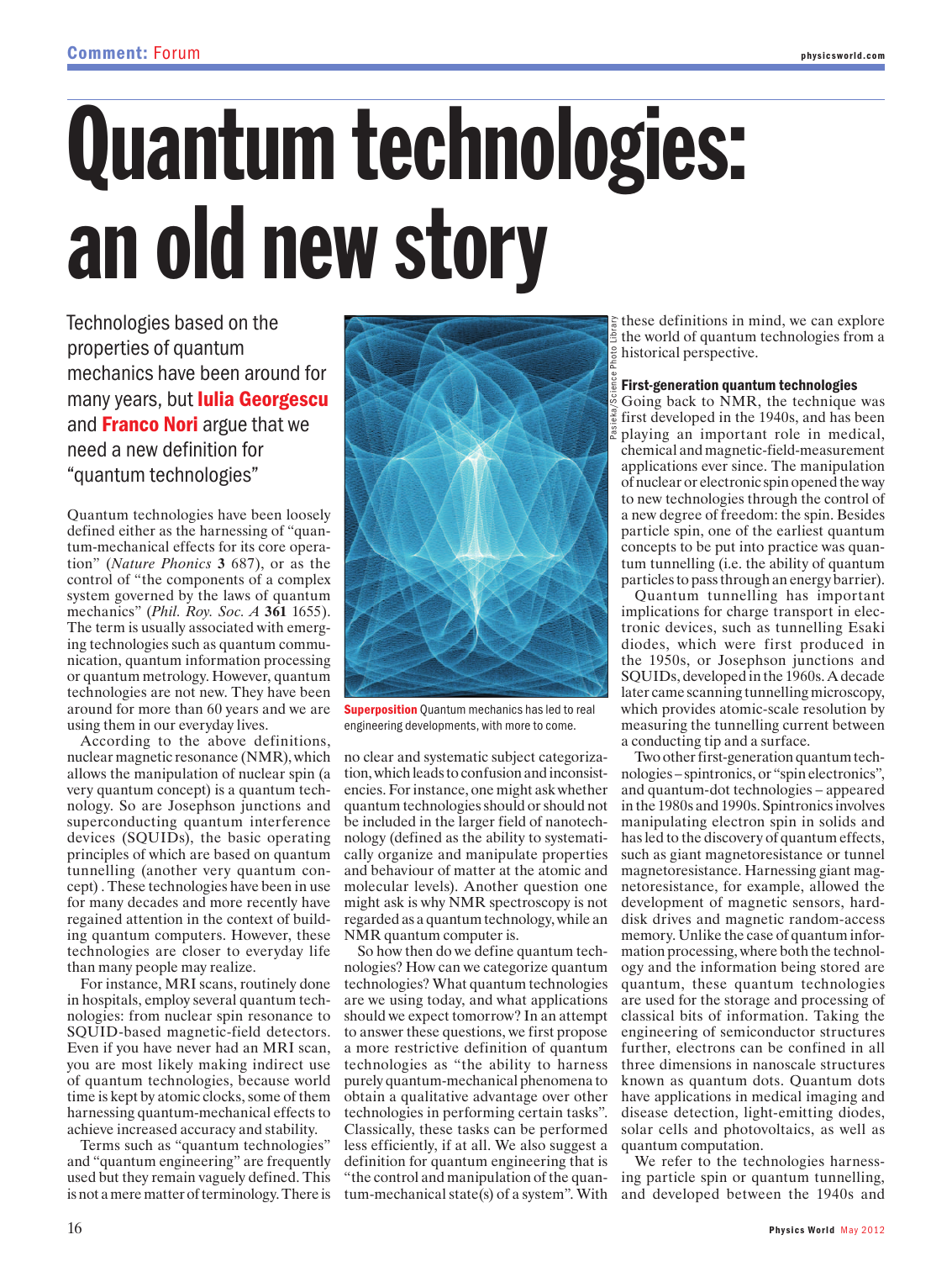## Quantum technologies: an old new story

Technologies based on the properties of quantum mechanics have been around for many years, but **Iulia Georgescu** and **Franco Nori** argue that we need a new definition for "quantum technologies"

Quantum technologies have been loosely defined either as the harnessing of "quantum-mechanical effects for its core operation" (*Nature Phonics* **3** 687), or as the control of "the components of a complex system governed by the laws of quantum mechanics" (*Phil. Roy. Soc. A* **361** 1655). The term is usually associated with emerging technologies such as quantum communication, quantum information processing or quantum metrology. However, quantum technologies are not new. They have been around for more than 60 years and we are using them in our everyday lives.

According to the above definitions, nuclear magnetic resonance (NMR), which allows the manipulation of nuclear spin (a very quantum concept) is a quantum technology. So are Josephson junctions and superconducting quantum interference devices (SQUIDs), the basic operating principles of which are based on quantum tunnelling (another very quantum concept) . These technologies have been in use for many decades and more recently have regained attention in the context of building quantum computers. However, these technologies are closer to everyday life than many people may realize.

For instance, MRI scans, routinely done in hospitals, employ several quantum technologies: from nuclear spin resonance to SQUID-based magnetic-field detectors. Even if you have never had an MRI scan, you are most likely making indirect use of quantum technologies, because world time is kept by atomic clocks, some of them harnessing quantum-mechanical effects to achieve increased accuracy and stability.

Terms such as "quantum technologies" and "quantum engineering" are frequently used but they remain vaguely defined. This is not a mere matter of terminology. There is



**Superposition** Quantum mechanics has led to real engineering developments, with more to come.

no clear and systematic subject categorization, which leads to confusion and inconsistencies. For instance, one might ask whether quantum technologies should or should not be included in the larger field of nanotechnology (defined as the ability to systematically organize and manipulate properties and behaviour of matter at the atomic and molecular levels). Another question one might ask is why NMR spectroscopy is not regarded as a quantum technology, while an NMR quantum computer is.

So how then do we define quantum technologies? How can we categorize quantum technologies? What quantum technologies are we using today, and what applications should we expect tomorrow? In an attempt to answer these questions, we first propose a more restrictive definition of quantum technologies as "the ability to harness purely quantum-mechanical phenomena to obtain a qualitative advantage over other technologies in performing certain tasks". Classically, these tasks can be performed less efficiently, if at all. We also suggest a definition for quantum engineering that is "the control and manipulation of the quantum-mechanical state(s) of a system". With

these definitions in mind, we can explore the world of quantum technologies from a historical perspective.

## First-generation quantum technologies

Going back to NMR, the technique was first developed in the 1940s, and has been playing an important role in medical, chemical and magnetic-field-measurement applications ever since. The manipulation of nuclear or electronic spin opened the way to new technologies through the control of a new degree of freedom: the spin. Besides particle spin, one of the earliest quantum concepts to be put into practice was quantum tunnelling (i.e. the ability of quantum particles to pass through an energy barrier).

Quantum tunnelling has important implications for charge transport in electronic devices, such as tunnelling Esaki diodes, which were first produced in the 1950s, or Josephson junctions and SQUIDs, developed in the 1960s. A decade later came scanning tunnelling microscopy, which provides atomic-scale resolution by measuring the tunnelling current between a conducting tip and a surface.

Two other first-generation quantum technologies – spintronics, or "spin electronics", and quantum-dot technologies – appeared in the 1980s and 1990s. Spintronics involves manipulating electron spin in solids and has led to the discovery of quantum effects, such as giant magnetoresistance or tunnel magnetoresistance. Harnessing giant magnetoresistance, for example, allowed the development of magnetic sensors, harddisk drives and magnetic random-access memory. Unlike the case of quantum information processing, where both the technology and the information being stored are quantum, these quantum technologies are used for the storage and processing of classical bits of information. Taking the engineering of semiconductor structures further, electrons can be confined in all three dimensions in nanoscale structures known as quantum dots. Quantum dots have applications in medical imaging and disease detection, light-emitting diodes, solar cells and photovoltaics, as well as quantum computation.

We refer to the technologies harnessing particle spin or quantum tunnelling, and developed between the 1940s and